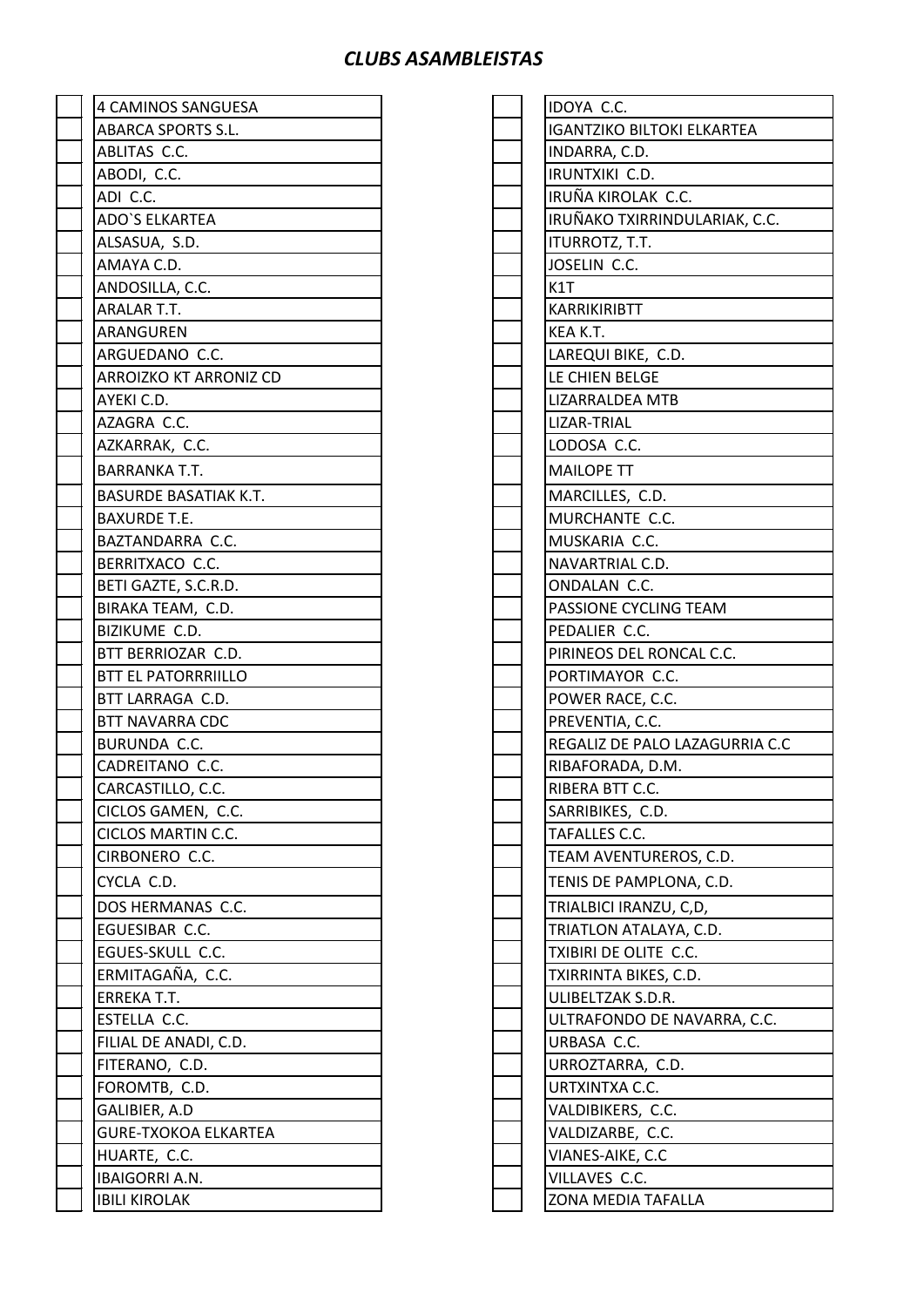## *CLUBS ASAMBLEISTAS*

| <b>4 CAMINOS SANGUESA</b>    | IDOYA C.C.                        |
|------------------------------|-----------------------------------|
| <b>ABARCA SPORTS S.L.</b>    | <b>IGANTZIKO BILTOKI ELKARTEA</b> |
| ABLITAS C.C.                 | INDARRA, C.D.                     |
| ABODI, C.C.                  | IRUNTXIKI C.D.                    |
| ADI C.C.                     | IRUÑA KIROLAK C.C.                |
| <b>ADO'S ELKARTEA</b>        | IRUÑAKO TXIRRINDULARIAK, C.C.     |
| ALSASUA, S.D.                | ITURROTZ, T.T.                    |
| AMAYA C.D.                   | JOSELIN C.C.                      |
| ANDOSILLA, C.C.              | K1T                               |
| ARALAR T.T.                  | <b>KARRIKIRIBTT</b>               |
| ARANGUREN                    | KEA K.T.                          |
| ARGUEDANO C.C.               | LAREQUI BIKE, C.D.                |
| ARROIZKO KT ARRONIZ CD       | LE CHIEN BELGE                    |
| AYEKI C.D.                   | <b>LIZARRALDEA MTB</b>            |
| AZAGRA C.C.                  | LIZAR-TRIAL                       |
| AZKARRAK, C.C.               | LODOSA C.C.                       |
| <b>BARRANKA T.T.</b>         | <b>MAILOPE TT</b>                 |
| <b>BASURDE BASATIAK K.T.</b> | MARCILLES, C.D.                   |
| <b>BAXURDE T.E.</b>          | MURCHANTE C.C.                    |
| BAZTANDARRA C.C.             | MUSKARIA C.C.                     |
| BERRITXACO C.C.              | NAVARTRIAL C.D.                   |
| BETI GAZTE, S.C.R.D.         | ONDALAN C.C.                      |
| BIRAKA TEAM, C.D.            | PASSIONE CYCLING TEAM             |
| BIZIKUME C.D.                | PEDALIER C.C.                     |
| BTT BERRIOZAR C.D.           | PIRINEOS DEL RONCAL C.C.          |
| <b>BTT EL PATORRRIILLO</b>   | PORTIMAYOR C.C.                   |
| BTT LARRAGA C.D.             | POWER RACE, C.C.                  |
| <b>BTT NAVARRA CDC</b>       | PREVENTIA, C.C.                   |
| BURUNDA C.C.                 | REGALIZ DE PALO LAZAGURRIA C.C    |
| CADREITANO C.C.              | RIBAFORADA, D.M.                  |
| CARCASTILLO, C.C.            | RIBERA BTT C.C.                   |
| CICLOS GAMEN, C.C.           | SARRIBIKES, C.D.                  |
| CICLOS MARTIN C.C.           | TAFALLES C.C.                     |
| CIRBONERO C.C.               | TEAM AVENTUREROS, C.D.            |
| CYCLA C.D.                   | TENIS DE PAMPLONA, C.D.           |
| DOS HERMANAS C.C.            | TRIALBICI IRANZU, C,D,            |
| EGUESIBAR C.C.               | TRIATLON ATALAYA, C.D.            |
| EGUES-SKULL C.C.             | TXIBIRI DE OLITE C.C.             |
| ERMITAGAÑA, C.C.             | TXIRRINTA BIKES, C.D.             |
| ERREKA T.T.                  | ULIBELTZAK S.D.R.                 |
| ESTELLA C.C.                 | ULTRAFONDO DE NAVARRA, C.C.       |
| FILIAL DE ANADI, C.D.        | URBASA C.C.                       |
| FITERANO, C.D.               | URROZTARRA, C.D.                  |
| FOROMTB, C.D.                | URTXINTXA C.C.                    |
| GALIBIER, A.D                | VALDIBIKERS, C.C.                 |
| <b>GURE-TXOKOA ELKARTEA</b>  | VALDIZARBE, C.C.                  |
| HUARTE, C.C.                 | VIANES-AIKE, C.C                  |
| IBAIGORRI A.N.               | VILLAVES C.C.                     |
| <b>IBILI KIROLAK</b>         | ZONA MEDIA TAFALLA                |
|                              |                                   |

|  | IDOYA C.C.                                      |
|--|-------------------------------------------------|
|  | <b>IGANTZIKO BILTOKI ELKARTEA</b>               |
|  | INDARRA, C.D.                                   |
|  | IRUNTXIKI C.D.                                  |
|  | IRUÑA KIROLAK C.C.                              |
|  | IRUÑAKO TXIRRINDULARIAK, C.C.                   |
|  | ITURROTZ, T.T.                                  |
|  | JOSELIN C.C.                                    |
|  | K1T                                             |
|  | <b>KARRIKIRIBTT</b>                             |
|  | KEA K.T.                                        |
|  | LAREQUI BIKE, C.D.                              |
|  | LE CHIEN BELGE                                  |
|  | LIZARRALDEA MTB                                 |
|  | LIZAR-TRIAL                                     |
|  | LODOSA C.C.                                     |
|  | <b>MAILOPE TT</b>                               |
|  | MARCILLES, C.D.                                 |
|  | MURCHANTE C.C.                                  |
|  | MUSKARIA C.C.                                   |
|  | NAVARTRIAL C.D.                                 |
|  | ONDALAN C.C.                                    |
|  | PASSIONE CYCLING TEAM                           |
|  | PEDALIER C.C.                                   |
|  | PIRINEOS DEL RONCAL C.C.                        |
|  | PORTIMAYOR C.C.                                 |
|  | POWER RACE, C.C.                                |
|  | PREVENTIA, C.C.                                 |
|  | REGALIZ DE PALO LAZAGURRIA C.C                  |
|  | RIBAFORADA, D.M.                                |
|  | RIBERA BTT C.C.                                 |
|  | SARRIBIKES, C.D.<br>TAFALLES C.C.               |
|  | TEAM AVENTUREROS, C.D.                          |
|  |                                                 |
|  | TENIS DE PAMPLONA, C.D.                         |
|  | TRIALBICI IRANZU, C,D,                          |
|  | TRIATLON ATALAYA, C.D.<br>TXIBIRI DE OLITE C.C. |
|  | TXIRRINTA BIKES, C.D.                           |
|  | ULIBELTZAK S.D.R.                               |
|  | ULTRAFONDO DE NAVARRA, C.C.                     |
|  | URBASA C.C.                                     |
|  | URROZTARRA, C.D.                                |
|  | URTXINTXA C.C.                                  |
|  | VALDIBIKERS, C.C.                               |
|  | VALDIZARBE, C.C.                                |
|  | VIANES-AIKE, C.C                                |
|  | VILLAVES C.C.                                   |
|  | ZONA MEDIA TAFALLA                              |